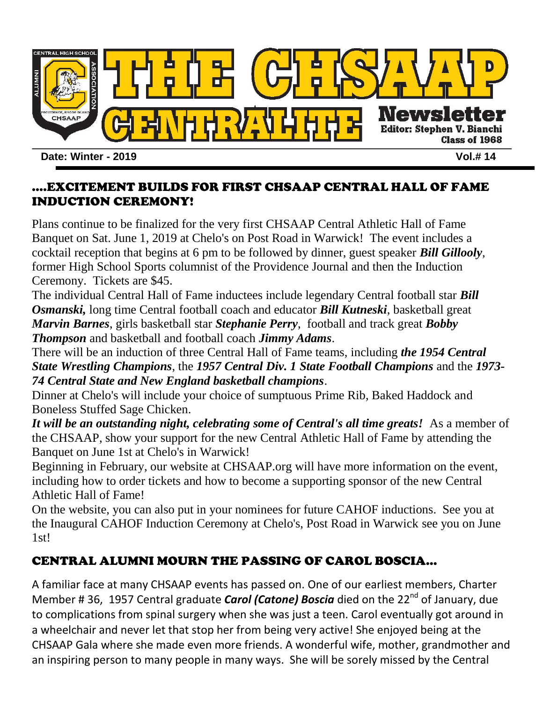

#### ....EXCITEMENT BUILDS FOR FIRST CHSAAP CENTRAL HALL OF FAME INDUCTION CEREMONY!

Plans continue to be finalized for the very first CHSAAP Central Athletic Hall of Fame Banquet on Sat. June 1, 2019 at Chelo's on Post Road in Warwick! The event includes a cocktail reception that begins at 6 pm to be followed by dinner, guest speaker *Bill Gillooly*, former High School Sports columnist of the Providence Journal and then the Induction Ceremony. Tickets are \$45.

The individual Central Hall of Fame inductees include legendary Central football star *Bill Osmanski,* long time Central football coach and educator *Bill Kutneski*, basketball great *Marvin Barnes*, girls basketball star *Stephanie Perry*, football and track great *Bobby Thompson* and basketball and football coach *Jimmy Adams*.

There will be an induction of three Central Hall of Fame teams, including *the 1954 Central State Wrestling Champions*, the *1957 Central Div. 1 State Football Champions* and the *1973- 74 Central State and New England basketball champions*.

Dinner at Chelo's will include your choice of sumptuous Prime Rib, Baked Haddock and Boneless Stuffed Sage Chicken.

*It will be an outstanding night, celebrating some of Central's all time greats!* As a member of the CHSAAP, show your support for the new Central Athletic Hall of Fame by attending the Banquet on June 1st at Chelo's in Warwick!

Beginning in February, our website at CHSAAP.org will have more information on the event, including how to order tickets and how to become a supporting sponsor of the new Central Athletic Hall of Fame!

On the website, you can also put in your nominees for future CAHOF inductions. See you at the Inaugural CAHOF Induction Ceremony at Chelo's, Post Road in Warwick see you on June 1st!

## CENTRAL ALUMNI MOURN THE PASSING OF CAROL BOSCIA…

A familiar face at many CHSAAP events has passed on. One of our earliest members, Charter Member # 36, 1957 Central graduate *Carol (Catone) Boscia* died on the 22<sup>nd</sup> of January, due to complications from spinal surgery when she was just a teen. Carol eventually got around in a wheelchair and never let that stop her from being very active! She enjoyed being at the CHSAAP Gala where she made even more friends. A wonderful wife, mother, grandmother and an inspiring person to many people in many ways. She will be sorely missed by the Central